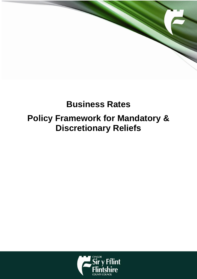

# **Business Rates Policy Framework for Mandatory & Discretionary Reliefs**

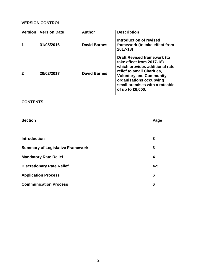## **VERSION CONTROL**

| Version   Version Date | <b>Author</b>       | <b>Description</b>                                                                                                                                                                                                                                 |
|------------------------|---------------------|----------------------------------------------------------------------------------------------------------------------------------------------------------------------------------------------------------------------------------------------------|
| 31/05/2016             | <b>David Barnes</b> | Introduction of revised<br>framework (to take effect from<br>$2017 - 18$                                                                                                                                                                           |
| 20/02/2017             | <b>David Barnes</b> | <b>Draft Revised framework (to</b><br>take effect from 2017-18)<br>which provides additional rate<br>relief to small Charities,<br><b>Voluntary and Community</b><br>organisations occupying<br>small premises with a rateable<br>of up to £6,000. |

### **CONTENTS**

| <b>Section</b>                          | Page    |
|-----------------------------------------|---------|
|                                         |         |
| <b>Introduction</b>                     | 3       |
| <b>Summary of Legislative Framework</b> | 3       |
| <b>Mandatory Rate Relief</b>            | 4       |
| <b>Discretionary Rate Relief</b>        | $4 - 5$ |
| <b>Application Process</b>              | 6       |
| <b>Communication Process</b>            | 6       |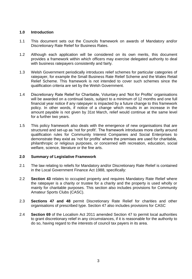#### **1.0 Introduction**

- 1.1 This document sets out the Councils framework on awards of Mandatory and/or Discretionary Rate Relief for Business Rates.
- 1.2 Although each application will be considered on its own merits, this document provides a framework within which officers may exercise delegated authority to deal with business ratepayers consistently and fairly.
- 1.3 Welsh Government periodically introduces relief schemes for particular categories of ratepayer, for example the Small Business Rate Relief Scheme and the Wales Retail Relief Scheme. This framework is not intended to cover such schemes since the qualification criteria are set by the Welsh Government.
- 1.4 Discretionary Rate Relief for Charitable, Voluntary and 'Not for Profits' organisations will be awarded on a continual basis, subject to a minimum of 12 months and one full financial year notice if any ratepayer is impacted by a future change to this framework policy. In other words, if notice of a change which results in an increase in the amount payable is not given by 31st March, relief would continue at the same level for a further two years.
- 1.5 This policy framework also deals with the emergence of new organisations that are structured and set-up as 'not for profit'. The framework introduces more clarity around qualification rules for Community Interest Companies and Social Enterprises to demonstrate they exist as 'not for profits' where the premises are used for charitable, philanthropic or religious purposes, or concerned with recreation, education, social welfare, science, literature or the fine arts.

#### **2.0 Summary of Legislative Framework**

- 2.1 The law relating to reliefs for Mandatory and/or Discretionary Rate Relief is contained in the Local Government Finance Act 1988, specifically:
- 2.2 **Section 43** relates to occupied property and requires Mandatory Rate Relief where the ratepayer is a charity or trustee for a charity and the property is used wholly or mainly for charitable purposes. This section also includes provisions for Community Amateur Sports Clubs (CASC).
- 2.3 **Sections 47 and 48** permit Discretionary Rate Relief for charities and other organisations of prescribed type. Section 47 also includes provisions for CASC
- 2.4 **Section 69** of the Localism Act 2011 amended Section 47 to permit local authorities to grant discretionary relief in any circumstances, if it is reasonable for the authority to do so, having regard to the interests of council tax payers in its area.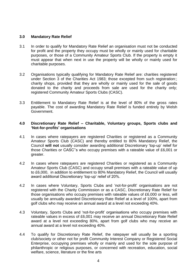#### **3.0 Mandatory Rate Relief**

- 3.1 In order to qualify for Mandatory Rate Relief an organisation must not be conducted for profit and the property they occupy must be wholly or mainly used for charitable purposes, or those of a Community Amateur Sports Club. If the property is empty it must appear that when next in use the property will be wholly or mainly used for charitable purposes.
- 3.2 Organisations typically qualifying for Mandatory Rate Relief are: charities registered under Section 3 of the Charities Act 1983; those excepted from such registration:; charity shops, provided that they are wholly or mainly used for the sale of goods donated to the charity and proceeds from sale are used for the charity only; registered Community Amateur Sports Clubs (CASC).
- 3.3 Entitlement to Mandatory Rate Relief is at the level of 80% of the gross rates payable. The cost of awarding Mandatory Rate Relief is funded entirely by Welsh Government.

#### **4.0 Discretionary Rate Relief – Charitable, Voluntary groups, Sports clubs and 'Not-for-profits' organisations**

- 4.1 In cases where ratepayers are registered Charities or registered as a Community Amateur Sports Club (CASC) and thereby entitled to 80% Mandatory Relief, the Council **will not** usually consider awarding additional Discretionary 'top-up' relief for those Charities or CASC''s who occupy premises with a rateable value of £6,001 or greater.
- 4.2 In cases where ratepayers are registered Charities or registered as a Community Amateur Sports Club (CASC) and occupy small premises with a rateable value of up to £6,000, in addition to entitlement to 80% Mandatory Relief, the Council will usually award additional Discretionary 'top-up' relief of 20%.
- 4.2 In cases where Voluntary, Sports Clubs and 'not-for-profit' organisations are not registered with the Charity Commission or as a CASC, Discretionary Rate Relief for those organisations who occupy premises with rateable values of £6,000 or less, will usually be annually awarded Discretionary Rate Relief at a level of 100%, apart from golf clubs who may receive an annual award at a level not exceeding 40%.
- 4.3 Voluntary, Sports Clubs and 'not-for-profit' organisations who occupy premises with rateable values in excess of £6,001 may receive an annual Discretionary Rate Relief award at a level not exceeding 80%, apart from golf clubs who may receive an annual award at a level not exceeding 40%.
- 4.4 To qualify for Discretionary Rate Relief, the ratepayer will usually be a sporting club/society or other not for profit Community Interest Company or Registered Social Enterprise, occupying premises wholly or mainly and used for the sole purpose of philanthropic or religious purposes, or concerned with recreation, education, social welfare, science, literature or the fine arts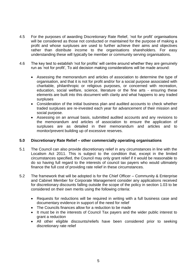- 4.5 For the purposes of awarding Discretionary Rate Relief, 'not for profit' organisations will be considered as those not conducted or maintained for the purpose of making a profit and whose surpluses are used to further achieve their aims and objectives rather than distribute income to the organisations shareholders. For easy understanding these will typically be member or community serving organisations.
- 4.6 The key test to establish 'not for profits' will centre around whether they are genuinely run as 'not for profit', To aid decision making considerations will be made around:
	- Assessing the memorandum and articles of association to determine the type of organisation, and that it is not for profit and/or for a social purpose associated with charitable, philanthropic or religious purposes, or concerned with recreation, education, social welfare, science, literature or the fine arts - ensuring these elements are built into this document with clarity and what happens to any traded surpluses
	- Consideration of the initial business plan and audited accounts to check whether traded surpluses are re-invested each year for advancement of their mission and social purpose.
	- Assessing on an annual basis, submitted audited accounts and any revisions to the memorandum and articles of association to ensure the application of surpluses are as detailed in their memorandum and articles and to monitor/prevent building up of excessive reserves.

#### **5.0 Discretionary Rate Relief – other commercially operating organisations**

- 5.1 The Council can also provide discretionary relief in any circumstances in line with the Localism Act 2011. This is subject to the condition that, except in the limited circumstances specified, the Council may only grant relief if it would be reasonable to do so having full regard to the interests of council tax payers who would ultimately finance the full cost of providing rate relief in these circumstances.
- 5.2 The framework that will be adopted is for the Chief Officer Community & Enterprise and Cabinet Member for Corporate Management consider any applications received for discretionary discounts falling outside the scope of the policy in section 1.03 to be considered on their own merits using the following criteria:
	- Requests for reductions will be required in writing with a full business case and documentary evidence in support of the need for relief
	- The Councils finances allow for a reduction to be made
	- It must be in the interests of Council Tax payers and the wider public interest to grant a reduction
	- All other eligible discounts/reliefs have been considered prior to seeking discretionary rate relief